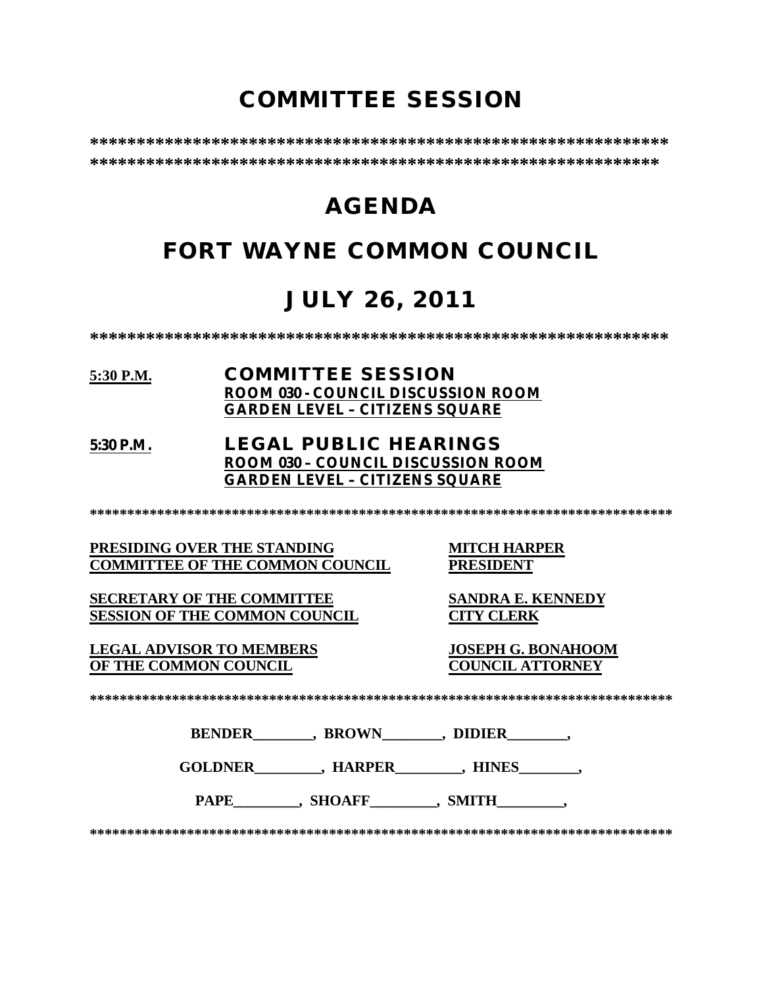# **COMMITTEE SESSION**

**\*\*\*\*\*\*\*\*\*\*\*\*\*\*\*\*\*\*\*\*\*\*\*\*\*\*\*\*\*\*\*\*\*\*\*\*\*\*\*\*\*\*\*\*\*\*\*\*\*\*\*\*\*\*\*\*\*\*\*\*\*\* \*\*\*\*\*\*\*\*\*\*\*\*\*\*\*\*\*\*\*\*\*\*\*\*\*\*\*\*\*\*\*\*\*\*\*\*\*\*\*\*\*\*\*\*\*\*\*\*\*\*\*\*\*\*\*\*\*\*\*\*\***

# **AGENDA**

# **FORT WAYNE COMMON COUNCIL**

# **JULY 26, 2011**

**\*\*\*\*\*\*\*\*\*\*\*\*\*\*\*\*\*\*\*\*\*\*\*\*\*\*\*\*\*\*\*\*\*\*\*\*\*\*\*\*\*\*\*\*\*\*\*\*\*\*\*\*\*\*\*\*\*\*\*\*\*\***

### **5:30 P.M. COMMITTEE SESSION ROOM 030 - COUNCIL DISCUSSION ROOM GARDEN LEVEL – CITIZENS SQUARE**

### **5:30 P.M. LEGAL PUBLIC HEARINGS ROOM 030 – COUNCIL DISCUSSION ROOM GARDEN LEVEL – CITIZENS SQUARE**

**\*\*\*\*\*\*\*\*\*\*\*\*\*\*\*\*\*\*\*\*\*\*\*\*\*\*\*\*\*\*\*\*\*\*\*\*\*\*\*\*\*\*\*\*\*\*\*\*\*\*\*\*\*\*\*\*\*\*\*\*\*\*\*\*\*\*\*\*\*\*\*\*\*\*\*\*\*\***

**PRESIDING OVER THE STANDING MITCH HARPER COMMITTEE OF THE COMMON COUNCIL** 

**SECRETARY OF THE COMMITTEE SANDRA E. KENNEDY SESSION OF THE COMMON COUNCIL CITY CLERK**

**LEGAL ADVISOR TO MEMBERS JOSEPH G. BONAHOOM OF THE COMMON COUNCIL** 

**\*\*\*\*\*\*\*\*\*\*\*\*\*\*\*\*\*\*\*\*\*\*\*\*\*\*\*\*\*\*\*\*\*\*\*\*\*\*\*\*\*\*\*\*\*\*\*\*\*\*\*\*\*\*\*\*\*\*\*\*\*\*\*\*\*\*\*\*\*\*\*\*\*\*\*\*\*\***

**BENDER\_\_\_\_\_\_\_\_, BROWN\_\_\_\_\_\_\_\_, DIDIER\_\_\_\_\_\_\_\_,** 

**GOLDNER\_\_\_\_\_\_\_\_\_, HARPER\_\_\_\_\_\_\_\_\_, HINES\_\_\_\_\_\_\_\_,** 

PAPE\_\_\_\_\_\_\_\_, SHOAFF\_\_\_\_\_\_\_\_, SMITH\_\_\_\_\_\_\_\_,

**\*\*\*\*\*\*\*\*\*\*\*\*\*\*\*\*\*\*\*\*\*\*\*\*\*\*\*\*\*\*\*\*\*\*\*\*\*\*\*\*\*\*\*\*\*\*\*\*\*\*\*\*\*\*\*\*\*\*\*\*\*\*\*\*\*\*\*\*\*\*\*\*\*\*\*\*\*\***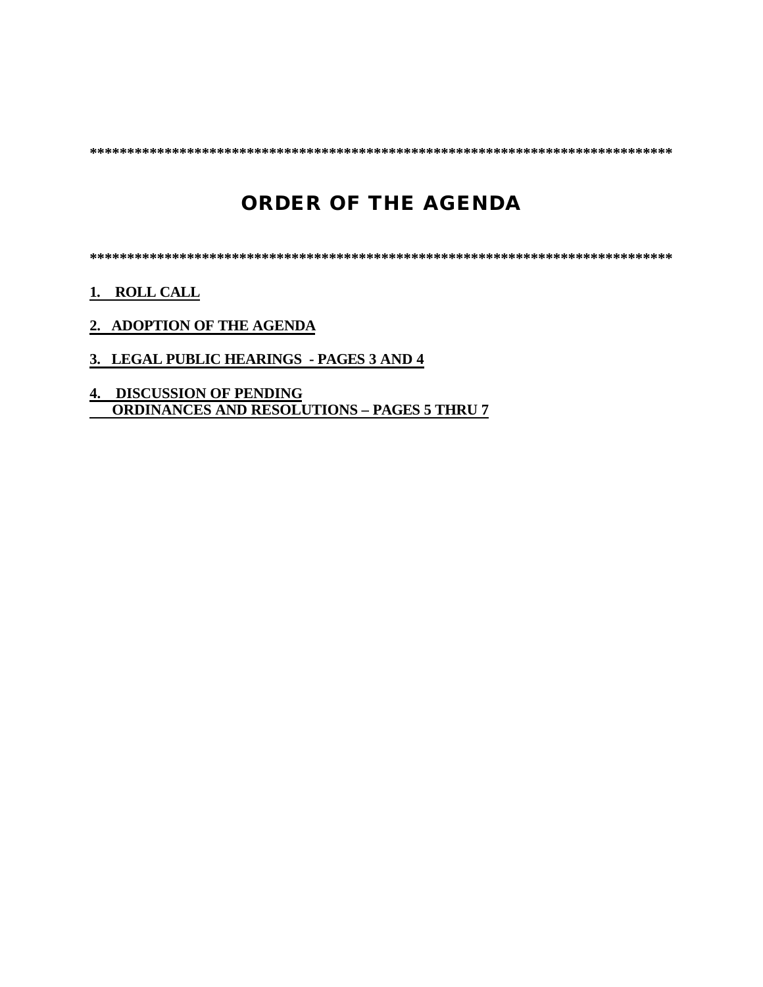**\*\*\*\*\*\*\*\*\*\*\*\*\*\*\*\*\*\*\*\*\*\*\*\*\*\*\*\*\*\*\*\*\*\*\*\*\*\*\*\*\*\*\*\*\*\*\*\*\*\*\*\*\*\*\*\*\*\*\*\*\*\*\*\*\*\*\*\*\*\*\*\*\*\*\*\*\*\***

# **ORDER OF THE AGENDA**

**\*\*\*\*\*\*\*\*\*\*\*\*\*\*\*\*\*\*\*\*\*\*\*\*\*\*\*\*\*\*\*\*\*\*\*\*\*\*\*\*\*\*\*\*\*\*\*\*\*\*\*\*\*\*\*\*\*\*\*\*\*\*\*\*\*\*\*\*\*\*\*\*\*\*\*\*\*\***

**1. ROLL CALL**

- **2. ADOPTION OF THE AGENDA**
- **3. LEGAL PUBLIC HEARINGS PAGES 3 AND 4**
- **4. DISCUSSION OF PENDING ORDINANCES AND RESOLUTIONS – PAGES 5 THRU 7**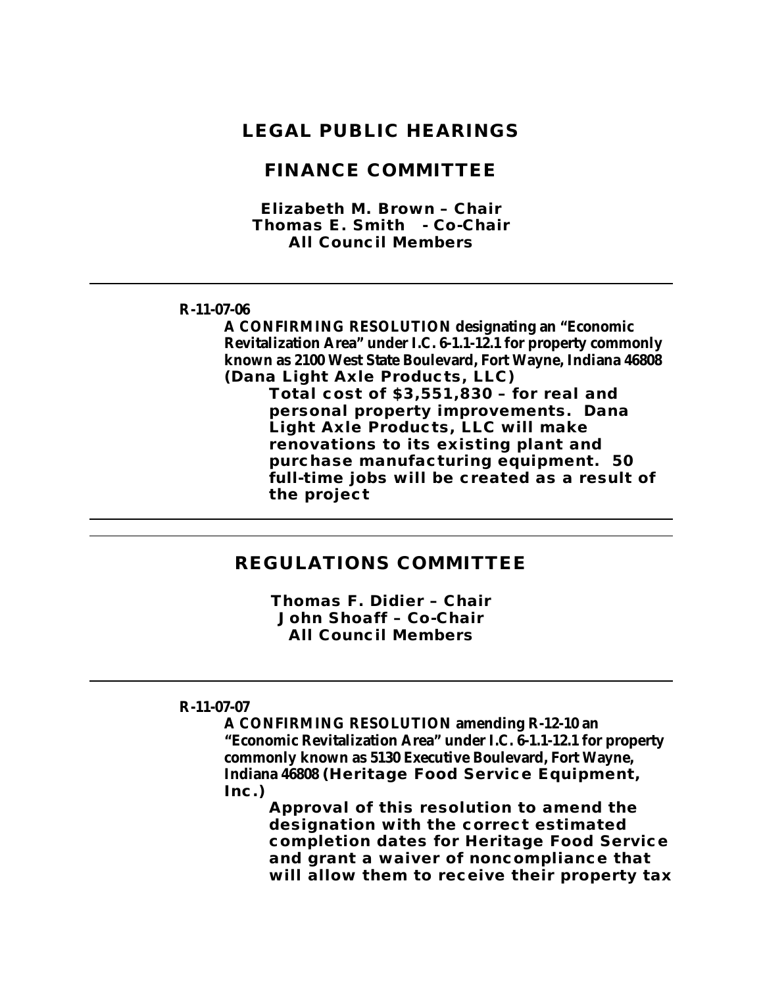### **LEGAL PUBLIC HEARINGS**

### **FINANCE COMMITTEE**

*Elizabeth M. Brown – Chair Thomas E. Smith - Co-Chair All Council Members*

#### **R-11-07-06**

**A CONFIRMING RESOLUTION designating an "Economic Revitalization Area" under I.C. 6-1.1-12.1 for property commonly known as 2100 West State Boulevard, Fort Wayne, Indiana 46808 (Dana Light Axle Products, LLC)**

> **Total cost of \$3,551,830 – for real and personal property improvements. Dana Light Axle Products, LLC will make renovations to its existing plant and purchase manufacturing equipment. 50 full-time jobs will be created as a result of the project**

### **REGULATIONS COMMITTEE**

*Thomas F. Didier – Chair John Shoaff – Co-Chair All Council Members*

### **R-11-07-07**

**A CONFIRMING RESOLUTION amending R-12-10 an "Economic Revitalization Area" under I.C. 6-1.1-12.1 for property commonly known as 5130 Executive Boulevard, Fort Wayne, Indiana 46808 (Heritage Food Service Equipment, Inc.)**

**Approval of this resolution to amend the designation with the correct estimated completion dates for Heritage Food Service and grant a waiver of noncompliance that will allow them to receive their property tax**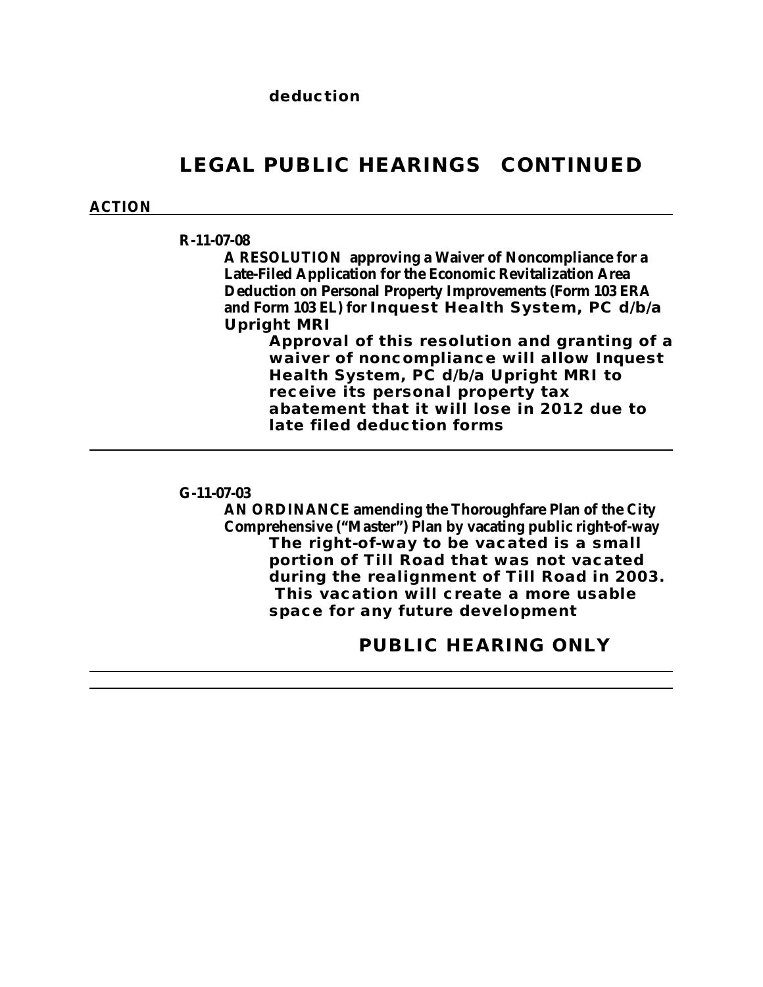# **LEGAL PUBLIC HEARINGS CONTINUED**

### **ACTION**

#### **R-11-07-08**

**A RESOLUTION approving a Waiver of Noncompliance for a Late-Filed Application for the Economic Revitalization Area Deduction on Personal Property Improvements (Form 103 ERA and Form 103 EL) for Inquest Health System, PC d/b/a Upright MRI**

> **Approval of this resolution and granting of a waiver of noncompliance will allow Inquest Health System, PC d/b/a Upright MRI to receive its personal property tax abatement that it will lose in 2012 due to late filed deduction forms**

### **G-11-07-03**

**AN ORDINANCE amending the Thoroughfare Plan of the City Comprehensive ("Master") Plan by vacating public right-of-way The right-of-way to be vacated is a small portion of Till Road that was not vacated during the realignment of Till Road in 2003. This vacation will create a more usable space for any future development**

### **PUBLIC HEARING ONLY**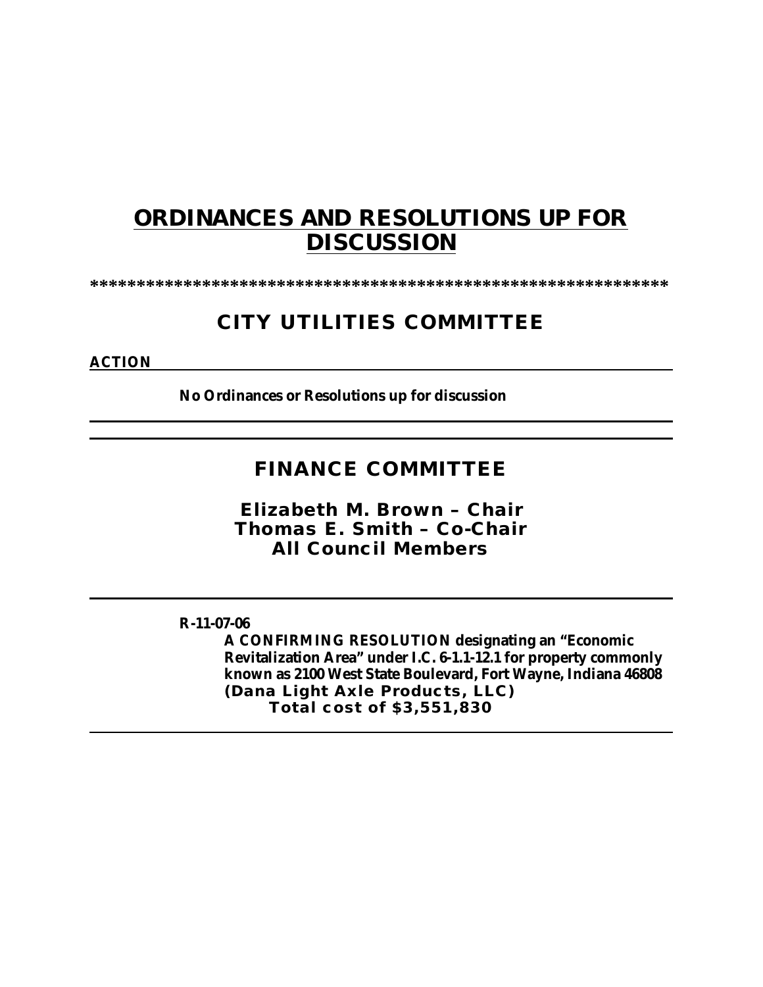# **ORDINANCES AND RESOLUTIONS UP FOR DISCUSSION**

**\*\*\*\*\*\*\*\*\*\*\*\*\*\*\*\*\*\*\*\*\*\*\*\*\*\*\*\*\*\*\*\*\*\*\*\*\*\*\*\*\*\*\*\*\*\*\*\*\*\*\*\*\*\*\*\*\*\*\*\*\*\***

# **CITY UTILITIES COMMITTEE**

### **ACTION**

**No Ordinances or Resolutions up for discussion**

### **FINANCE COMMITTEE**

*Elizabeth M. Brown – Chair Thomas E. Smith – Co-Chair All Council Members*

### **R-11-07-06**

**A CONFIRMING RESOLUTION designating an "Economic Revitalization Area" under I.C. 6-1.1-12.1 for property commonly known as 2100 West State Boulevard, Fort Wayne, Indiana 46808 (Dana Light Axle Products, LLC) Total cost of \$3,551,830**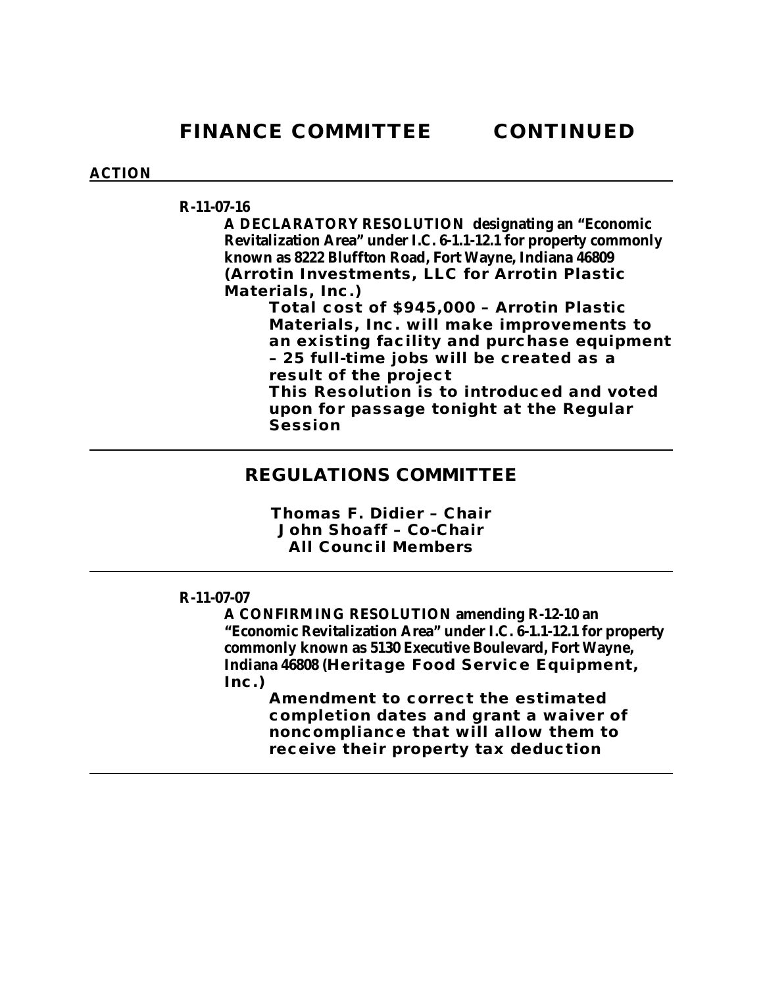### **ACTION**

### **R-11-07-16**

**A DECLARATORY RESOLUTION designating an "Economic Revitalization Area" under I.C. 6-1.1-12.1 for property commonly known as 8222 Bluffton Road, Fort Wayne, Indiana 46809 (Arrotin Investments, LLC for Arrotin Plastic Materials, Inc.)**

**Total cost of \$945,000 – Arrotin Plastic Materials, Inc. will make improvements to an existing facility and purchase equipment – 25 full-time jobs will be created as a result of the project This Resolution is to introduced and voted upon for passage tonight at the Regular Session** 

### **REGULATIONS COMMITTEE**

*Thomas F. Didier – Chair John Shoaff – Co-Chair All Council Members*

### **R-11-07-07**

**A CONFIRMING RESOLUTION amending R-12-10 an "Economic Revitalization Area" under I.C. 6-1.1-12.1 for property commonly known as 5130 Executive Boulevard, Fort Wayne, Indiana 46808 (Heritage Food Service Equipment, Inc.)**

> **Amendment to correct the estimated completion dates and grant a waiver of noncompliance that will allow them to receive their property tax deduction**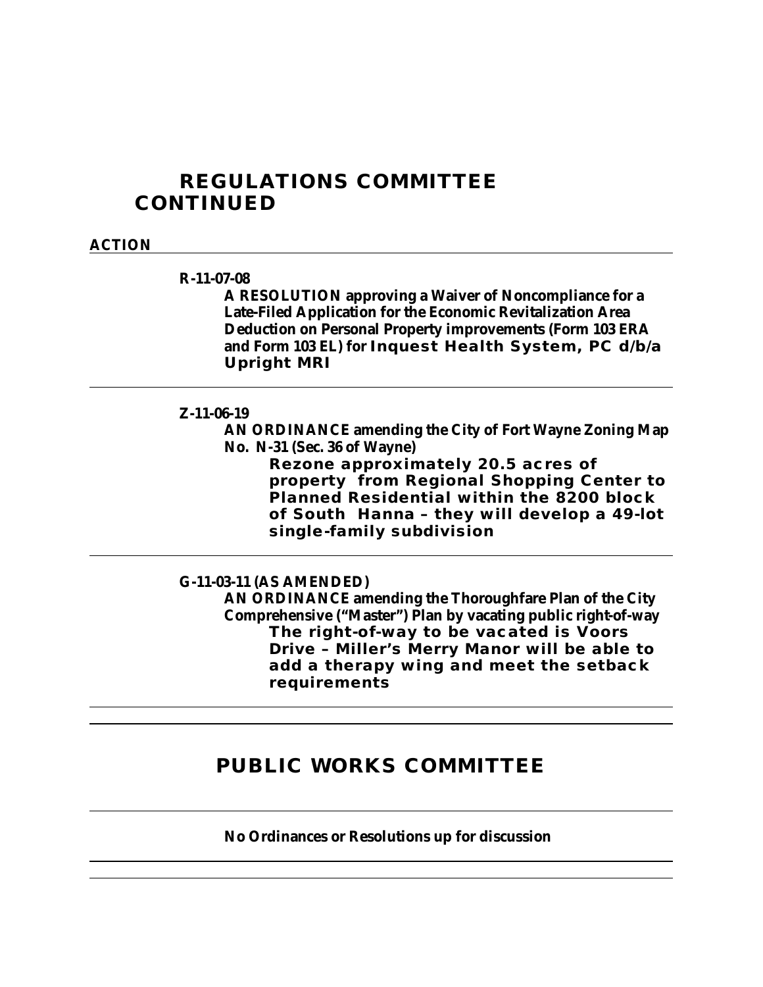## **REGULATIONS COMMITTEE CONTINUED**

#### **ACTION**

#### **R-11-07-08**

**A RESOLUTION approving a Waiver of Noncompliance for a Late-Filed Application for the Economic Revitalization Area Deduction on Personal Property improvements (Form 103 ERA and Form 103 EL) for Inquest Health System, PC d/b/a Upright MRI**

### **Z-11-06-19**

**AN ORDINANCE amending the City of Fort Wayne Zoning Map No. N-31 (Sec. 36 of Wayne)**

**Rezone approximately 20.5 acres of property from Regional Shopping Center to Planned Residential within the 8200 block of South Hanna – they will develop a 49-lot single-family subdivision**

#### **G-11-03-11 (AS AMENDED)**

**AN ORDINANCE amending the Thoroughfare Plan of the City Comprehensive ("Master") Plan by vacating public right-of-way The right-of-way to be vacated is Voors Drive – Miller's Merry Manor will be able to add a therapy wing and meet the setback requirements** 

# **PUBLIC WORKS COMMITTEE**

**No Ordinances or Resolutions up for discussion**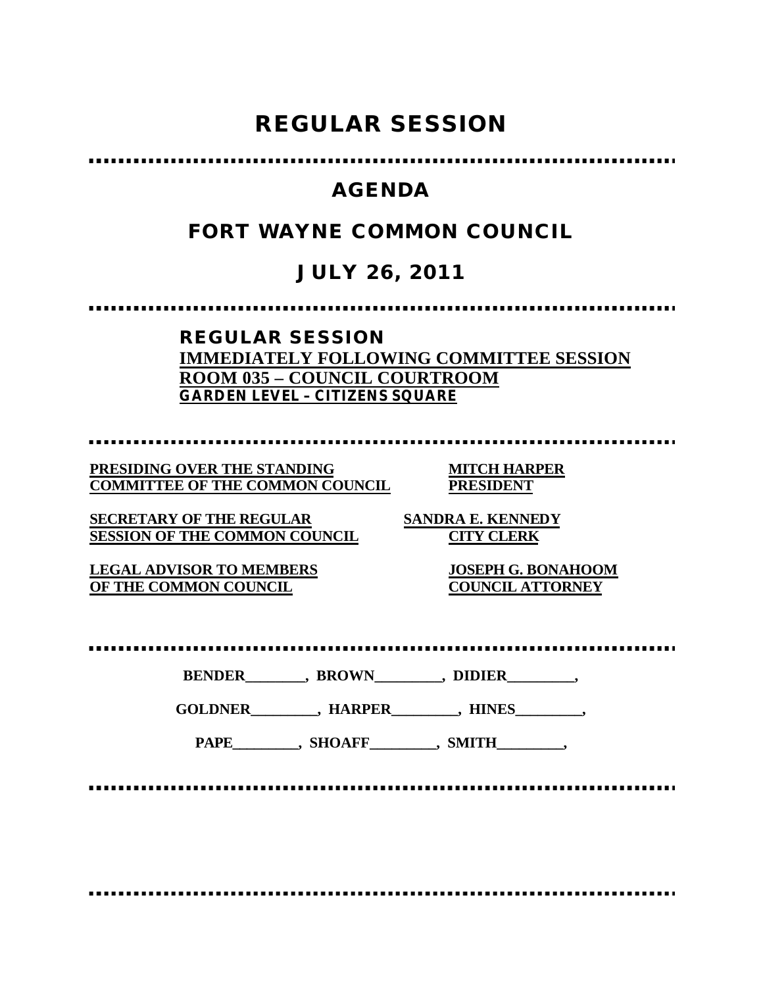# **REGULAR SESSION**

# **AGENDA**

# **FORT WAYNE COMMON COUNCIL**

# **JULY 26, 2011**

### **REGULAR SESSION IMMEDIATELY FOLLOWING COMMITTEE SESSION ROOM 035 – COUNCIL COURTROOM GARDEN LEVEL – CITIZENS SQUARE**

**PRESIDING OVER THE STANDING MITCH HARPER COMMITTEE OF THE COMMON COUNCIL PRESIDENT**

**SECRETARY OF THE REGULAR SANDRA E. KENNEDY SESSION OF THE COMMON COUNCIL CITY CLERK**

**LEGAL ADVISOR TO MEMBERS JOSEPH G. BONAHOOM OF THE COMMON COUNCIL** 

**BENDER\_\_\_\_\_\_\_\_, BROWN\_\_\_\_\_\_\_\_\_, DIDIER\_\_\_\_\_\_\_\_\_,**

**GOLDNER\_\_\_\_\_\_\_\_\_, HARPER\_\_\_\_\_\_\_\_\_, HINES\_\_\_\_\_\_\_\_\_,**

PAPE\_\_\_\_\_\_\_\_, SHOAFF\_\_\_\_\_\_\_, SMITH\_\_\_\_\_\_\_\_,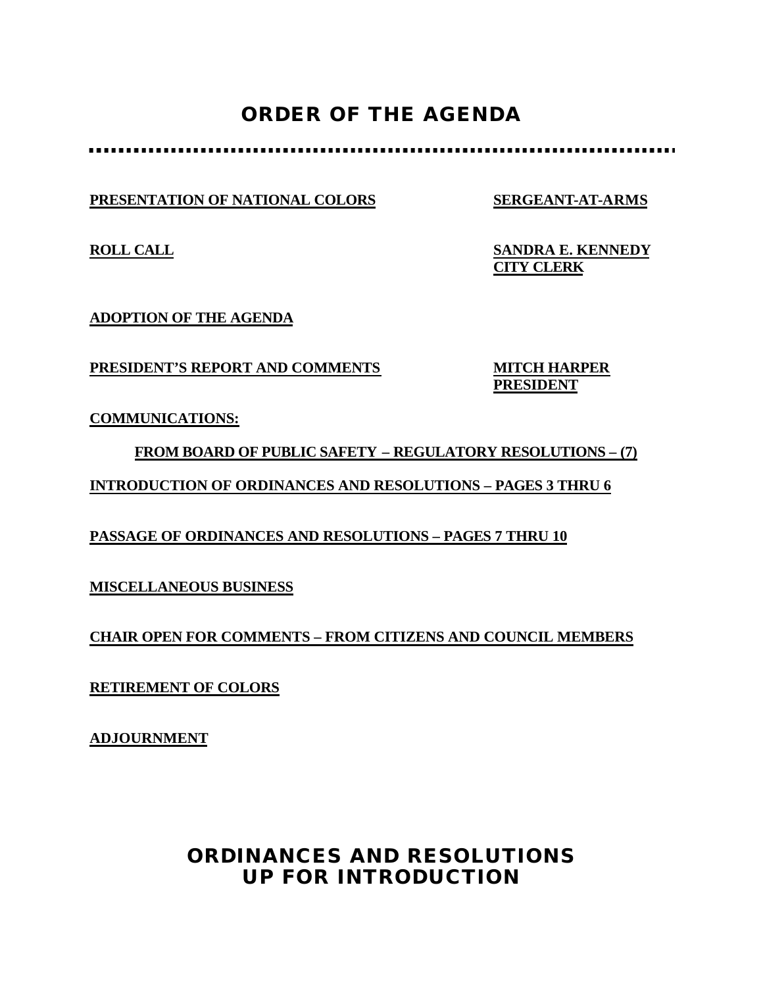# **ORDER OF THE AGENDA**

**PRESENTATION OF NATIONAL COLORS SERGEANT-AT-ARMS**

**ROLL CALL SANDRA E. KENNEDY CITY CLERK**

**ADOPTION OF THE AGENDA**

**PRESIDENT'S REPORT AND COMMENTS MITCH HARPER**

**PRESIDENT**

**COMMUNICATIONS:**

**FROM BOARD OF PUBLIC SAFETY – REGULATORY RESOLUTIONS – (7) INTRODUCTION OF ORDINANCES AND RESOLUTIONS – PAGES 3 THRU 6**

**PASSAGE OF ORDINANCES AND RESOLUTIONS – PAGES 7 THRU 10**

**MISCELLANEOUS BUSINESS**

**CHAIR OPEN FOR COMMENTS – FROM CITIZENS AND COUNCIL MEMBERS**

**RETIREMENT OF COLORS**

**ADJOURNMENT**

# **ORDINANCES AND RESOLUTIONS UP FOR INTRODUCTION**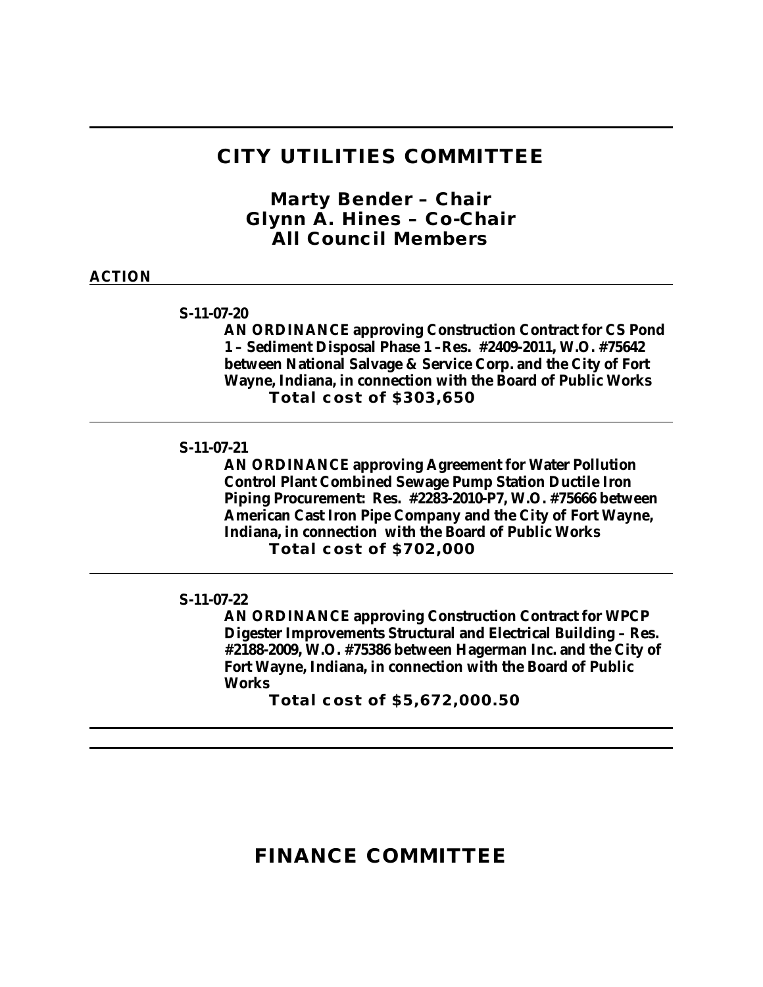### **CITY UTILITIES COMMITTEE**

*Marty Bender – Chair Glynn A. Hines – Co-Chair All Council Members*

### **ACTION**

**S-11-07-20**

**AN ORDINANCE approving Construction Contract for CS Pond 1 – Sediment Disposal Phase 1 –Res. #2409-2011, W.O. #75642 between National Salvage & Service Corp. and the City of Fort Wayne, Indiana, in connection with the Board of Public Works Total cost of \$303,650**

**S-11-07-21**

**AN ORDINANCE approving Agreement for Water Pollution Control Plant Combined Sewage Pump Station Ductile Iron Piping Procurement: Res. #2283-2010-P7, W.O. #75666 between American Cast Iron Pipe Company and the City of Fort Wayne, Indiana, in connection with the Board of Public Works Total cost of \$702,000**

**S-11-07-22**

**AN ORDINANCE approving Construction Contract for WPCP Digester Improvements Structural and Electrical Building – Res. #2188-2009, W.O. #75386 between Hagerman Inc. and the City of Fort Wayne, Indiana, in connection with the Board of Public Works** 

**Total cost of \$5,672,000.50**

## **FINANCE COMMITTEE**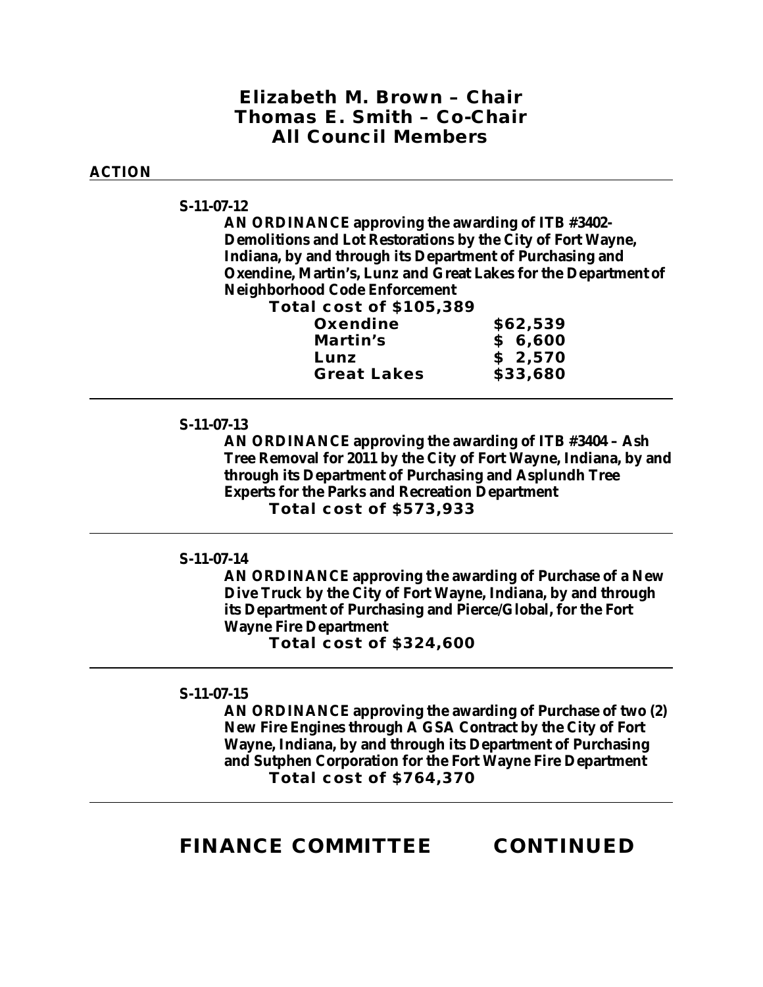### *Elizabeth M. Brown – Chair Thomas E. Smith – Co-Chair All Council Members*

### **ACTION**

#### **S-11-07-12**

**AN ORDINANCE approving the awarding of ITB #3402- Demolitions and Lot Restorations by the City of Fort Wayne, Indiana, by and through its Department of Purchasing and Oxendine, Martin's, Lunz and Great Lakes for the Department of Neighborhood Code Enforcement** 

**Total cost of \$105,389**

| Oxendine           | \$62,539 |
|--------------------|----------|
| Martin's           | \$6,600  |
| Lunz               | \$2,570  |
| <b>Great Lakes</b> | \$33,680 |

#### **S-11-07-13**

**AN ORDINANCE approving the awarding of ITB #3404 – Ash Tree Removal for 2011 by the City of Fort Wayne, Indiana, by and through its Department of Purchasing and Asplundh Tree Experts for the Parks and Recreation Department Total cost of \$573,933**

### **S-11-07-14**

**AN ORDINANCE approving the awarding of Purchase of a New Dive Truck by the City of Fort Wayne, Indiana, by and through its Department of Purchasing and Pierce/Global, for the Fort Wayne Fire Department Total cost of \$324,600**

#### **S-11-07-15**

**AN ORDINANCE approving the awarding of Purchase of two (2) New Fire Engines through A GSA Contract by the City of Fort Wayne, Indiana, by and through its Department of Purchasing and Sutphen Corporation for the Fort Wayne Fire Department Total cost of \$764,370**

### **FINANCE COMMITTEE CONTINUED**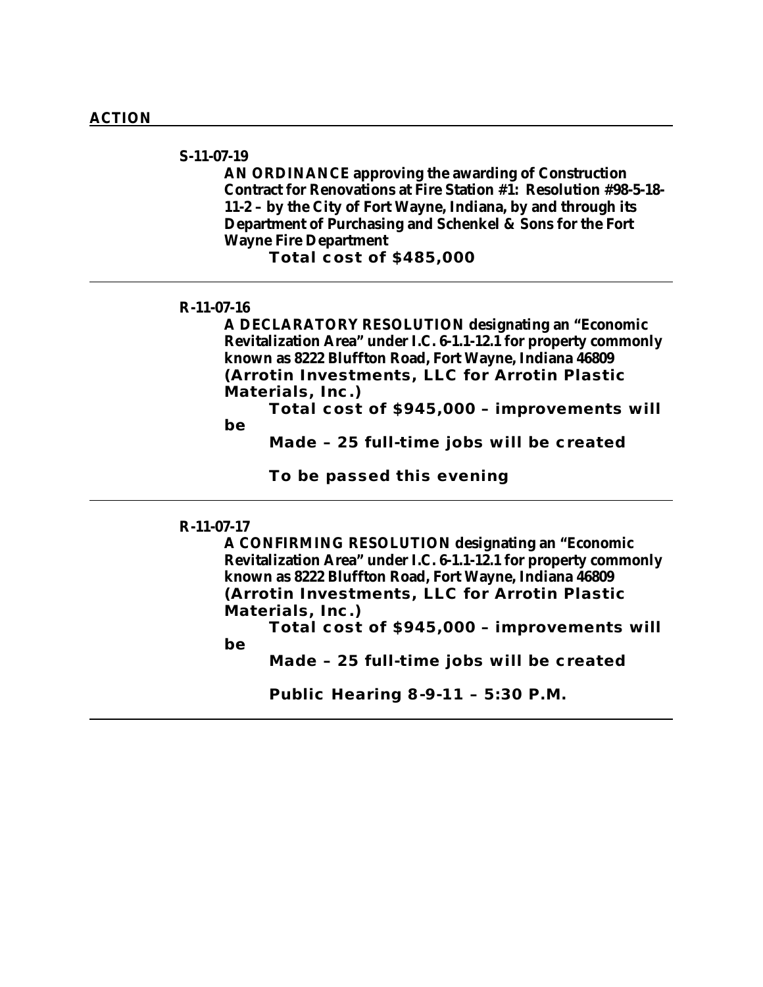### **S-11-07-19**

**AN ORDINANCE approving the awarding of Construction Contract for Renovations at Fire Station #1: Resolution #98-5-18- 11-2 – by the City of Fort Wayne, Indiana, by and through its Department of Purchasing and Schenkel & Sons for the Fort Wayne Fire Department**

**Total cost of \$485,000**

### **R-11-07-16**

**A DECLARATORY RESOLUTION designating an "Economic Revitalization Area" under I.C. 6-1.1-12.1 for property commonly known as 8222 Bluffton Road, Fort Wayne, Indiana 46809 (Arrotin Investments, LLC for Arrotin Plastic Materials, Inc.)**

**Total cost of \$945,000 – improvements will be** 

**Made – 25 full-time jobs will be created**

**To be passed this evening**

#### **R-11-07-17**

**A CONFIRMING RESOLUTION designating an "Economic Revitalization Area" under I.C. 6-1.1-12.1 for property commonly known as 8222 Bluffton Road, Fort Wayne, Indiana 46809 (Arrotin Investments, LLC for Arrotin Plastic Materials, Inc.)**

**Total cost of \$945,000 – improvements will be** 

**Made – 25 full-time jobs will be created**

**Public Hearing 8-9-11 – 5:30 P.M.**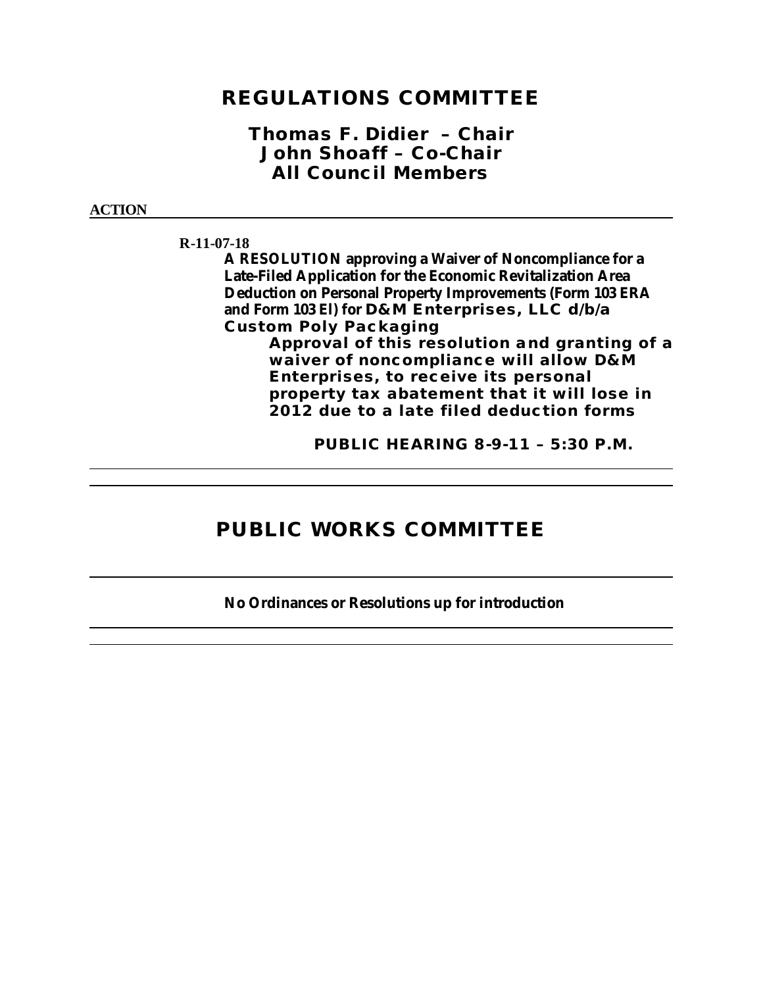## **REGULATIONS COMMITTEE**

### *Thomas F. Didier – Chair John Shoaff – Co-Chair All Council Members*

#### **ACTION**

**R-11-07-18**

**A RESOLUTION approving a Waiver of Noncompliance for a Late-Filed Application for the Economic Revitalization Area Deduction on Personal Property Improvements (Form 103 ERA and Form 103 El) for D&M Enterprises, LLC d/b/a Custom Poly Packaging** 

**Approval of this resolution and granting of a waiver of noncompliance will allow D&M Enterprises, to receive its personal property tax abatement that it will lose in 2012 due to a late filed deduction forms** 

**PUBLIC HEARING 8-9-11 – 5:30 P.M.**

# **PUBLIC WORKS COMMITTEE**

**No Ordinances or Resolutions up for introduction**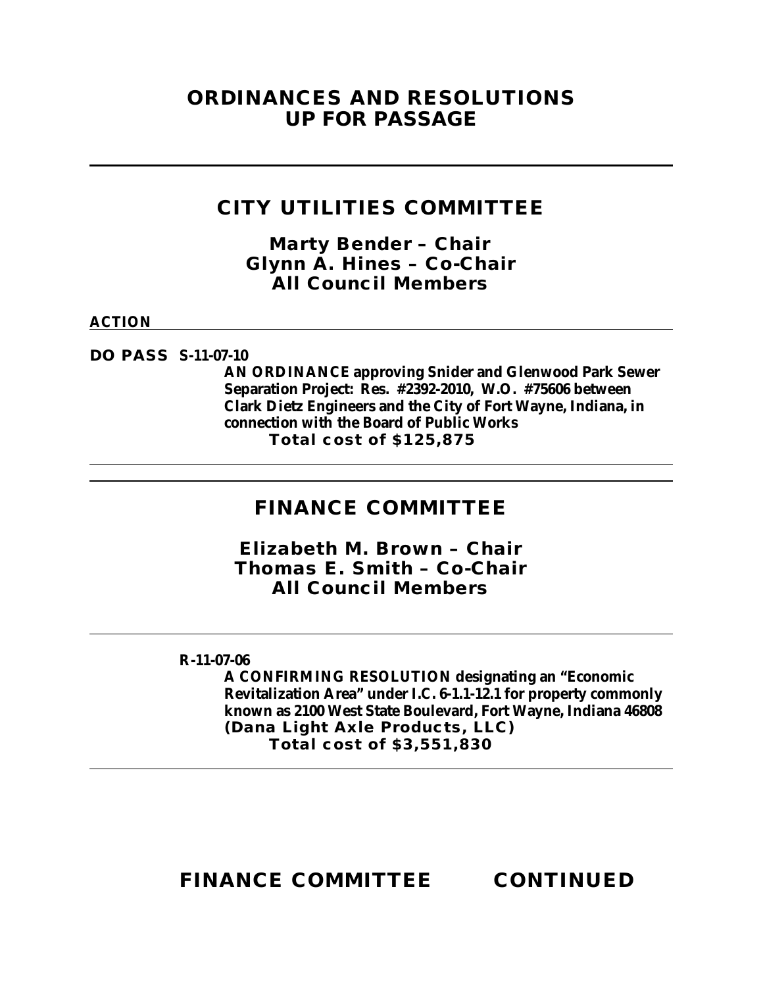## **ORDINANCES AND RESOLUTIONS UP FOR PASSAGE**

## **CITY UTILITIES COMMITTEE**

*Marty Bender – Chair Glynn A. Hines – Co-Chair All Council Members*

### **ACTION**

**DO PASS S-11-07-10**

**AN ORDINANCE approving Snider and Glenwood Park Sewer Separation Project: Res. #2392-2010, W.O. #75606 between Clark Dietz Engineers and the City of Fort Wayne, Indiana, in connection with the Board of Public Works Total cost of \$125,875**

## **FINANCE COMMITTEE**

*Elizabeth M. Brown – Chair Thomas E. Smith – Co-Chair All Council Members*

### **R-11-07-06**

**A CONFIRMING RESOLUTION designating an "Economic Revitalization Area" under I.C. 6-1.1-12.1 for property commonly known as 2100 West State Boulevard, Fort Wayne, Indiana 46808 (Dana Light Axle Products, LLC) Total cost of \$3,551,830**

**FINANCE COMMITTEE CONTINUED**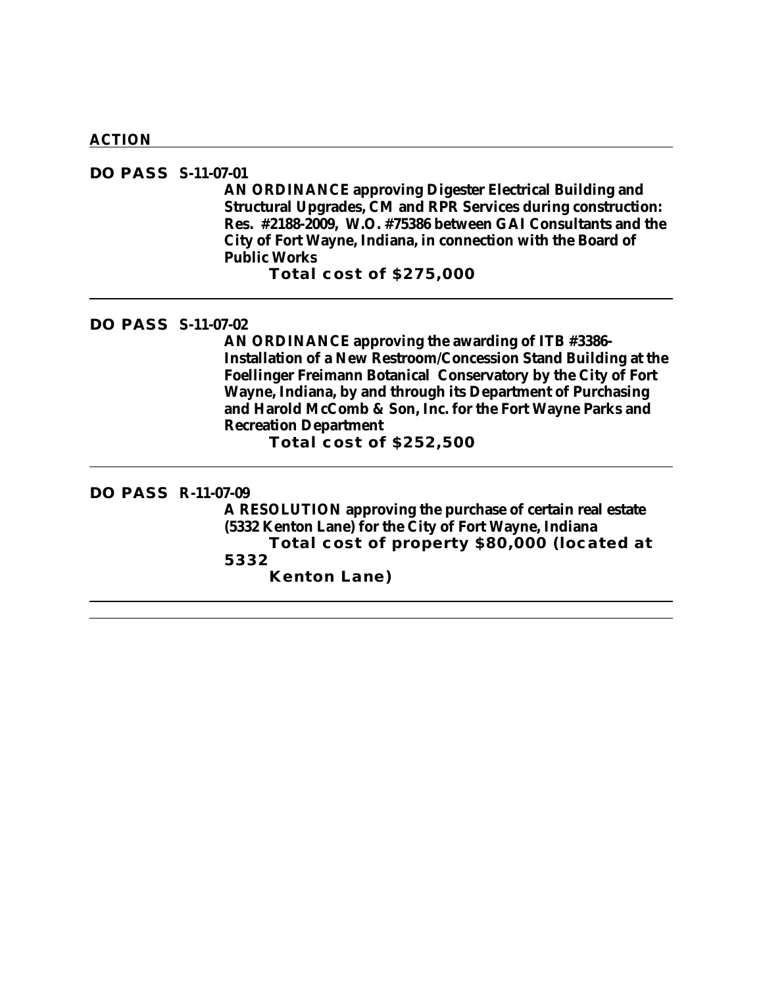#### **ACTION**

### **DO PASS S-11-07-01**

**AN ORDINANCE approving Digester Electrical Building and Structural Upgrades, CM and RPR Services during construction: Res. #2188-2009, W.O. #75386 between GAI Consultants and the City of Fort Wayne, Indiana, in connection with the Board of Public Works**

**Total cost of \$275,000**

### **DO PASS S-11-07-02**

**AN ORDINANCE approving the awarding of ITB #3386- Installation of a New Restroom/Concession Stand Building at the Foellinger Freimann Botanical Conservatory by the City of Fort Wayne, Indiana, by and through its Department of Purchasing and Harold McComb & Son, Inc. for the Fort Wayne Parks and Recreation Department**

**Total cost of \$252,500**

#### **DO PASS R-11-07-09**

**A RESOLUTION approving the purchase of certain real estate (5332 Kenton Lane) for the City of Fort Wayne, Indiana Total cost of property \$80,000 (located at 5332 Kenton Lane)**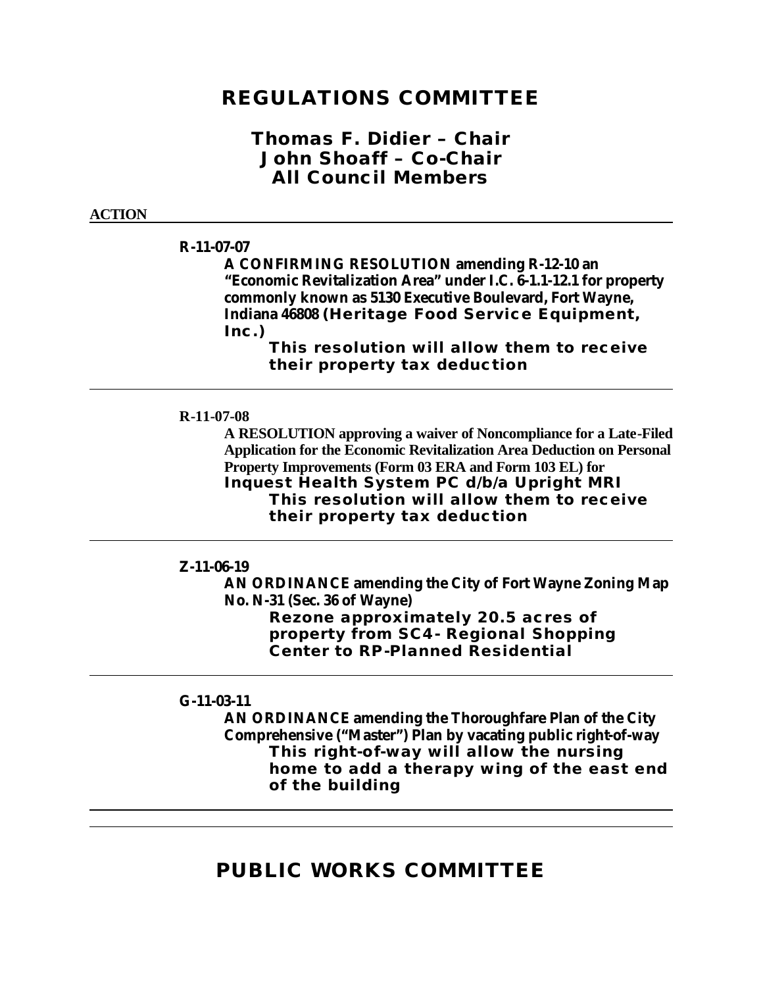## **REGULATIONS COMMITTEE**

### *Thomas F. Didier – Chair John Shoaff – Co-Chair All Council Members*

#### **ACTION**

### **R-11-07-07**

**A CONFIRMING RESOLUTION amending R-12-10 an "Economic Revitalization Area" under I.C. 6-1.1-12.1 for property commonly known as 5130 Executive Boulevard, Fort Wayne, Indiana 46808 (Heritage Food Service Equipment, Inc.)**

> **This resolution will allow them to receive their property tax deduction**

#### **R-11-07-08**

**A RESOLUTION approving a waiver of Noncompliance for a Late-Filed Application for the Economic Revitalization Area Deduction on Personal Property Improvements (Form 03 ERA and Form 103 EL) for Inquest Health System PC d/b/a Upright MRI This resolution will allow them to receive their property tax deduction**

#### **Z-11-06-19**

**AN ORDINANCE amending the City of Fort Wayne Zoning Map No. N-31 (Sec. 36 of Wayne) Rezone approximately 20.5 acres of property from SC4- Regional Shopping Center to RP-Planned Residential**

### **G-11-03-11**

**AN ORDINANCE amending the Thoroughfare Plan of the City Comprehensive ("Master") Plan by vacating public right-of-way This right-of-way will allow the nursing home to add a therapy wing of the east end of the building**

## **PUBLIC WORKS COMMITTEE**